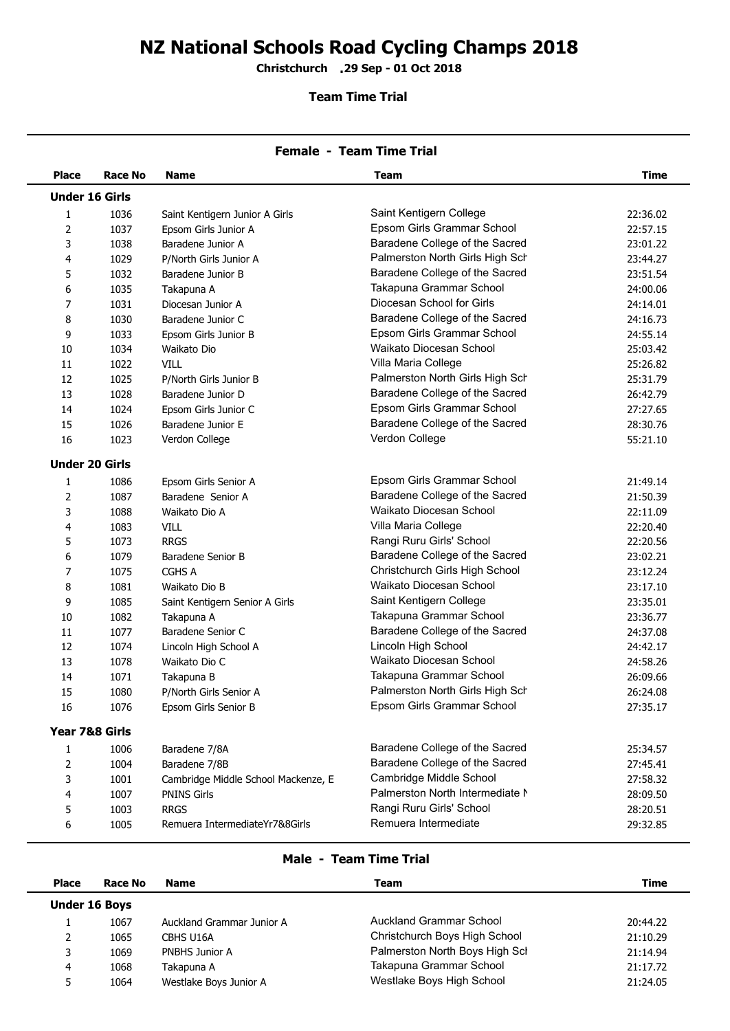## **NZ National Schools Road Cycling Champs 2018**

**Christchurch 29 Sep - 01 Oct 2018 .**

## **Team Time Trial**

|                | <b>Female - Team Time Trial</b> |                                     |                                 |             |  |  |  |
|----------------|---------------------------------|-------------------------------------|---------------------------------|-------------|--|--|--|
| <b>Place</b>   | Race No                         | <b>Name</b>                         | <b>Team</b>                     | <b>Time</b> |  |  |  |
|                | <b>Under 16 Girls</b>           |                                     |                                 |             |  |  |  |
| 1              | 1036                            | Saint Kentigern Junior A Girls      | Saint Kentigern College         | 22:36.02    |  |  |  |
| $\overline{2}$ | 1037                            | Epsom Girls Junior A                | Epsom Girls Grammar School      | 22:57.15    |  |  |  |
| 3              | 1038                            | Baradene Junior A                   | Baradene College of the Sacred  | 23:01.22    |  |  |  |
| 4              | 1029                            | P/North Girls Junior A              | Palmerston North Girls High Sch | 23:44.27    |  |  |  |
| 5              | 1032                            | Baradene Junior B                   | Baradene College of the Sacred  | 23:51.54    |  |  |  |
| 6              | 1035                            | Takapuna A                          | Takapuna Grammar School         | 24:00.06    |  |  |  |
| $\overline{7}$ | 1031                            | Diocesan Junior A                   | Diocesan School for Girls       | 24:14.01    |  |  |  |
| 8              | 1030                            | Baradene Junior C                   | Baradene College of the Sacred  | 24:16.73    |  |  |  |
| 9              | 1033                            | Epsom Girls Junior B                | Epsom Girls Grammar School      | 24:55.14    |  |  |  |
| 10             | 1034                            | Waikato Dio                         | Waikato Diocesan School         | 25:03.42    |  |  |  |
| 11             | 1022                            | VILL                                | Villa Maria College             | 25:26.82    |  |  |  |
| 12             | 1025                            | P/North Girls Junior B              | Palmerston North Girls High Sch | 25:31.79    |  |  |  |
| 13             | 1028                            | Baradene Junior D                   | Baradene College of the Sacred  | 26:42.79    |  |  |  |
| 14             | 1024                            | Epsom Girls Junior C                | Epsom Girls Grammar School      | 27:27.65    |  |  |  |
| 15             | 1026                            | Baradene Junior E                   | Baradene College of the Sacred  | 28:30.76    |  |  |  |
| 16             | 1023                            | Verdon College                      | Verdon College                  | 55:21.10    |  |  |  |
|                | <b>Under 20 Girls</b>           |                                     |                                 |             |  |  |  |
| 1              | 1086                            | Epsom Girls Senior A                | Epsom Girls Grammar School      | 21:49.14    |  |  |  |
| $\overline{2}$ | 1087                            | Baradene Senior A                   | Baradene College of the Sacred  | 21:50.39    |  |  |  |
| 3              | 1088                            | Waikato Dio A                       | Waikato Diocesan School         | 22:11.09    |  |  |  |
| 4              | 1083                            | VILL                                | Villa Maria College             | 22:20.40    |  |  |  |
| 5              | 1073                            | <b>RRGS</b>                         | Rangi Ruru Girls' School        | 22:20.56    |  |  |  |
| 6              | 1079                            | Baradene Senior B                   | Baradene College of the Sacred  | 23:02.21    |  |  |  |
| $\overline{7}$ | 1075                            | CGHS A                              | Christchurch Girls High School  | 23:12.24    |  |  |  |
| 8              | 1081                            | Waikato Dio B                       | Waikato Diocesan School         | 23:17.10    |  |  |  |
| 9              | 1085                            | Saint Kentigern Senior A Girls      | Saint Kentigern College         | 23:35.01    |  |  |  |
| 10             | 1082                            | Takapuna A                          | Takapuna Grammar School         | 23:36.77    |  |  |  |
| 11             | 1077                            | Baradene Senior C                   | Baradene College of the Sacred  | 24:37.08    |  |  |  |
| 12             | 1074                            | Lincoln High School A               | Lincoln High School             | 24:42.17    |  |  |  |
| 13             | 1078                            | Waikato Dio C                       | Waikato Diocesan School         | 24:58.26    |  |  |  |
| 14             | 1071                            | Takapuna B                          | Takapuna Grammar School         | 26:09.66    |  |  |  |
| 15             | 1080                            | P/North Girls Senior A              | Palmerston North Girls High Sch | 26:24.08    |  |  |  |
| 16             | 1076                            | Epsom Girls Senior B                | Epsom Girls Grammar School      | 27:35.17    |  |  |  |
|                | Year 7&8 Girls                  |                                     |                                 |             |  |  |  |
| 1              | 1006                            | Baradene 7/8A                       | Baradene College of the Sacred  | 25:34.57    |  |  |  |
| $\overline{2}$ | 1004                            | Baradene 7/8B                       | Baradene College of the Sacred  | 27:45.41    |  |  |  |
| 3              | 1001                            | Cambridge Middle School Mackenze, E | Cambridge Middle School         | 27:58.32    |  |  |  |
| 4              | 1007                            | <b>PNINS Girls</b>                  | Palmerston North Intermediate N | 28:09.50    |  |  |  |
| 5              | 1003                            | <b>RRGS</b>                         | Rangi Ruru Girls' School        | 28:20.51    |  |  |  |
| 6              | 1005                            | Remuera IntermediateYr7&8Girls      | Remuera Intermediate            | 29:32.85    |  |  |  |
|                |                                 |                                     |                                 |             |  |  |  |

## **Male - Team Time Trial**

| <b>Place</b>         | Race No | <b>Name</b>               | Team                           | Time     |
|----------------------|---------|---------------------------|--------------------------------|----------|
| <b>Under 16 Boys</b> |         |                           |                                |          |
|                      | 1067    | Auckland Grammar Junior A | <b>Auckland Grammar School</b> | 20:44.22 |
|                      | 1065    | CBHS U16A                 | Christchurch Boys High School  | 21:10.29 |
|                      | 1069    | PNBHS Junior A            | Palmerston North Boys High Sch | 21:14.94 |
| 4                    | 1068    | Takapuna A                | Takapuna Grammar School        | 21:17.72 |
|                      | 1064    | Westlake Boys Junior A    | Westlake Boys High School      | 21:24.05 |
|                      |         |                           |                                |          |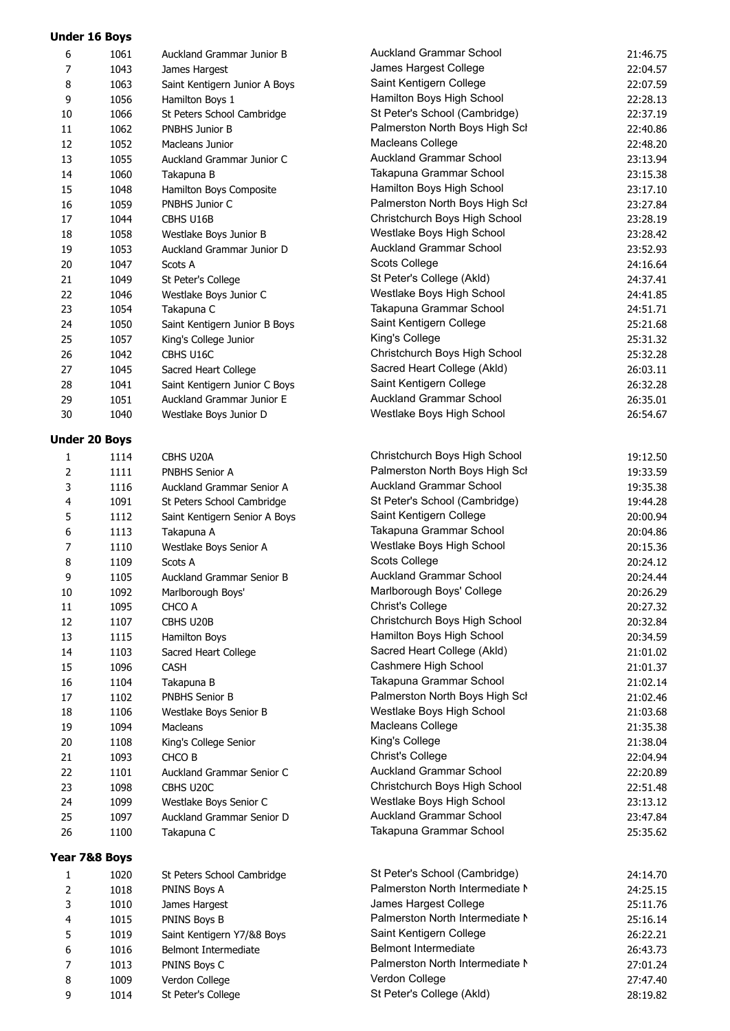| 6              | 1061                 | Auckland Grammar Junior B     | <b>Auckland Grammar School</b>  | 21:46.75 |
|----------------|----------------------|-------------------------------|---------------------------------|----------|
| $\overline{7}$ | 1043                 | James Hargest                 | James Hargest College           | 22:04.57 |
| 8              | 1063                 | Saint Kentigern Junior A Boys | Saint Kentigern College         | 22:07.59 |
| 9              | 1056                 | Hamilton Boys 1               | Hamilton Boys High School       | 22:28.13 |
| 10             | 1066                 | St Peters School Cambridge    | St Peter's School (Cambridge)   | 22:37.19 |
| 11             | 1062                 | PNBHS Junior B                | Palmerston North Boys High Scl  | 22:40.86 |
| 12             | 1052                 | Macleans Junior               | Macleans College                | 22:48.20 |
| 13             | 1055                 | Auckland Grammar Junior C     | <b>Auckland Grammar School</b>  | 23:13.94 |
| 14             | 1060                 | Takapuna B                    | Takapuna Grammar School         | 23:15.38 |
| 15             | 1048                 | Hamilton Boys Composite       | Hamilton Boys High School       | 23:17.10 |
| 16             | 1059                 | PNBHS Junior C                | Palmerston North Boys High Scl  | 23:27.84 |
| 17             | 1044                 | CBHS U16B                     | Christchurch Boys High School   | 23:28.19 |
| 18             | 1058                 | Westlake Boys Junior B        | Westlake Boys High School       | 23:28.42 |
| 19             | 1053                 | Auckland Grammar Junior D     | <b>Auckland Grammar School</b>  | 23:52.93 |
| 20             | 1047                 | Scots A                       | Scots College                   | 24:16.64 |
| 21             | 1049                 | St Peter's College            | St Peter's College (Akld)       | 24:37.41 |
| 22             | 1046                 | Westlake Boys Junior C        | Westlake Boys High School       | 24:41.85 |
| 23             | 1054                 | Takapuna C                    | Takapuna Grammar School         | 24:51.71 |
| 24             | 1050                 | Saint Kentigern Junior B Boys | Saint Kentigern College         | 25:21.68 |
| 25             | 1057                 | King's College Junior         | King's College                  | 25:31.32 |
| 26             | 1042                 | CBHS U16C                     | Christchurch Boys High School   | 25:32.28 |
| 27             | 1045                 | Sacred Heart College          | Sacred Heart College (Akld)     | 26:03.11 |
| 28             | 1041                 | Saint Kentigern Junior C Boys | Saint Kentigern College         | 26:32.28 |
| 29             | 1051                 | Auckland Grammar Junior E     | <b>Auckland Grammar School</b>  | 26:35.01 |
| 30             | 1040                 | Westlake Boys Junior D        | Westlake Boys High School       | 26:54.67 |
|                |                      |                               |                                 |          |
|                | <b>Under 20 Boys</b> |                               |                                 |          |
| 1              | 1114                 | CBHS U20A                     | Christchurch Boys High School   | 19:12.50 |
| $\overline{2}$ | 1111                 | PNBHS Senior A                | Palmerston North Boys High Scl  | 19:33.59 |
| 3              | 1116                 | Auckland Grammar Senior A     | <b>Auckland Grammar School</b>  | 19:35.38 |
| 4              | 1091                 | St Peters School Cambridge    | St Peter's School (Cambridge)   | 19:44.28 |
| 5              | 1112                 | Saint Kentigern Senior A Boys | Saint Kentigern College         | 20:00.94 |
| 6              | 1113                 | Takapuna A                    | Takapuna Grammar School         | 20:04.86 |
| $\overline{7}$ | 1110                 | Westlake Boys Senior A        | Westlake Boys High School       | 20:15.36 |
| 8              | 1109                 | Scots A                       | Scots College                   | 20:24.12 |
| 9              | 1105                 | Auckland Grammar Senior B     | <b>Auckland Grammar School</b>  | 20:24.44 |
| 10             | 1092                 | Marlborough Boys'             | Marlborough Boys' College       | 20:26.29 |
| 11             | 1095                 | CHCO A                        | Christ's College                | 20:27.32 |
| 12             | 1107                 | CBHS U20B                     | Christchurch Boys High School   | 20:32.84 |
| 13             | 1115                 | Hamilton Boys                 | Hamilton Boys High School       | 20:34.59 |
| 14             | 1103                 | Sacred Heart College          | Sacred Heart College (Akld)     | 21:01.02 |
| 15             | 1096                 | <b>CASH</b>                   | Cashmere High School            | 21:01.37 |
| 16             | 1104                 | Takapuna B                    | Takapuna Grammar School         | 21:02.14 |
| 17             | 1102                 | PNBHS Senior B                | Palmerston North Boys High Scl  | 21:02.46 |
| 18             | 1106                 | Westlake Boys Senior B        | Westlake Boys High School       | 21:03.68 |
| 19             | 1094                 | Macleans                      | Macleans College                | 21:35.38 |
| 20             | 1108                 | King's College Senior         | King's College                  | 21:38.04 |
| 21             | 1093                 | CHCO B                        | <b>Christ's College</b>         | 22:04.94 |
| 22             | 1101                 | Auckland Grammar Senior C     | <b>Auckland Grammar School</b>  | 22:20.89 |
| 23             | 1098                 | CBHS U20C                     | Christchurch Boys High School   | 22:51.48 |
| 24             | 1099                 | Westlake Boys Senior C        | Westlake Boys High School       | 23:13.12 |
| 25             | 1097                 | Auckland Grammar Senior D     | <b>Auckland Grammar School</b>  | 23:47.84 |
| 26             | 1100                 | Takapuna C                    | Takapuna Grammar School         | 25:35.62 |
|                |                      |                               |                                 |          |
|                | Year 7&8 Boys        |                               |                                 |          |
| 1              | 1020                 | St Peters School Cambridge    | St Peter's School (Cambridge)   | 24:14.70 |
| 2              | 1018                 | PNINS Boys A                  | Palmerston North Intermediate N | 24:25.15 |
| 3              | 1010                 | James Hargest                 | James Hargest College           | 25:11.76 |
| 4              | 1015                 | PNINS Boys B                  | Palmerston North Intermediate N | 25:16.14 |
| 5              | 1019                 | Saint Kentigern Y7/&8 Boys    | Saint Kentigern College         | 26:22.21 |
| 6              | 1016                 | Belmont Intermediate          | <b>Belmont Intermediate</b>     | 26:43.73 |
| $\overline{7}$ | 1013                 | PNINS Boys C                  | Palmerston North Intermediate N | 27:01.24 |
| 8              | 1009                 | Verdon College                | Verdon College                  | 27:47.40 |
| 9              | 1014                 | St Peter's College            | St Peter's College (Akld)       | 28:19.82 |
|                |                      |                               |                                 |          |

**Under 16 Boys**